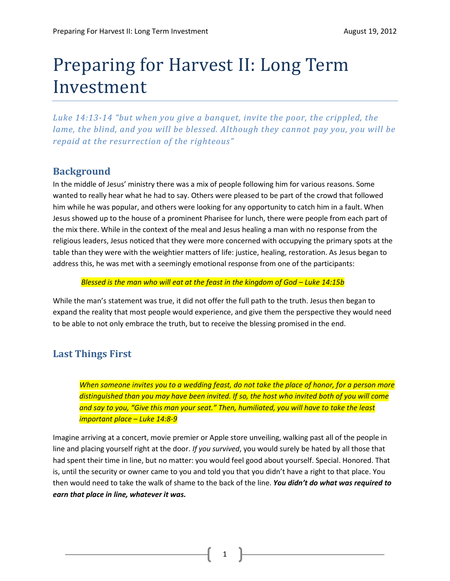# Preparing for Harvest II: Long Term Investment

*Luke 14:13-14 "but when you give a banquet, invite the poor, the crippled, the lame, the blind, and you will be blessed. Although they cannot pay you, you will be repaid at the resurrection of the righteous"*

## **Background**

In the middle of Jesus' ministry there was a mix of people following him for various reasons. Some wanted to really hear what he had to say. Others were pleased to be part of the crowd that followed him while he was popular, and others were looking for any opportunity to catch him in a fault. When Jesus showed up to the house of a prominent Pharisee for lunch, there were people from each part of the mix there. While in the context of the meal and Jesus healing a man with no response from the religious leaders, Jesus noticed that they were more concerned with occupying the primary spots at the table than they were with the weightier matters of life: justice, healing, restoration. As Jesus began to address this, he was met with a seemingly emotional response from one of the participants:

#### *Blessed is the man who will eat at the feast in the kingdom of God – Luke 14:15b*

While the man's statement was true, it did not offer the full path to the truth. Jesus then began to expand the reality that most people would experience, and give them the perspective they would need to be able to not only embrace the truth, but to receive the blessing promised in the end.

# **Last Things First**

*When someone invites you to a wedding feast, do not take the place of honor, for a person more distinguished than you may have been invited. If so, the host who invited both of you will come*  and say to you, "Give this man your seat." Then, humiliated, you will have to take the least *important place – Luke 14:8-9*

Imagine arriving at a concert, movie premier or Apple store unveiling, walking past all of the people in line and placing yourself right at the door. *If you survived*, you would surely be hated by all those that had spent their time in line, but no matter: you would feel good about yourself. Special. Honored. That is, until the security or owner came to you and told you that you didn't have a right to that place. You then would need to take the walk of shame to the back of the line. *You didn't do what was required to earn that place in line, whatever it was.* 

1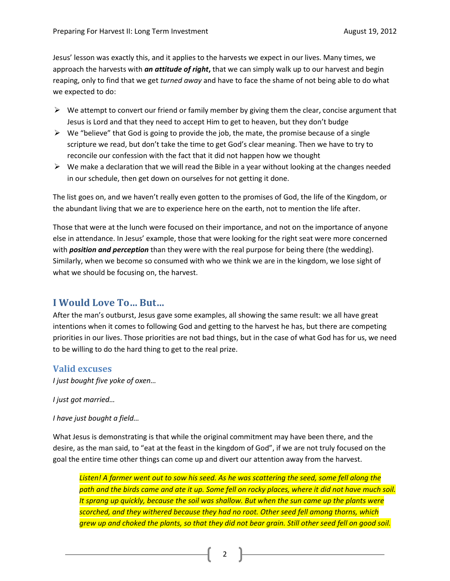Jesus' lesson was exactly this, and it applies to the harvests we expect in our lives. Many times, we approach the harvests with *an attitude of right***,** that we can simply walk up to our harvest and begin reaping, only to find that we get *turned away* and have to face the shame of not being able to do what we expected to do:

- $\triangleright$  We attempt to convert our friend or family member by giving them the clear, concise argument that Jesus is Lord and that they need to accept Him to get to heaven, but they don't budge
- $\triangleright$  We "believe" that God is going to provide the job, the mate, the promise because of a single scripture we read, but don't take the time to get God's clear meaning. Then we have to try to reconcile our confession with the fact that it did not happen how we thought
- $\triangleright$  We make a declaration that we will read the Bible in a year without looking at the changes needed in our schedule, then get down on ourselves for not getting it done.

The list goes on, and we haven't really even gotten to the promises of God, the life of the Kingdom, or the abundant living that we are to experience here on the earth, not to mention the life after.

Those that were at the lunch were focused on their importance, and not on the importance of anyone else in attendance. In Jesus' example, those that were looking for the right seat were more concerned with *position and perception* than they were with the real purpose for being there (the wedding). Similarly, when we become so consumed with who we think we are in the kingdom, we lose sight of what we should be focusing on, the harvest.

### **I Would Love To… But…**

After the man's outburst, Jesus gave some examples, all showing the same result: we all have great intentions when it comes to following God and getting to the harvest he has, but there are competing priorities in our lives. Those priorities are not bad things, but in the case of what God has for us, we need to be willing to do the hard thing to get to the real prize.

#### **Valid excuses**

*I just bought five yoke of oxen…*

*I just got married…*

*I have just bought a field…*

What Jesus is demonstrating is that while the original commitment may have been there, and the desire, as the man said, to "eat at the feast in the kingdom of God", if we are not truly focused on the goal the entire time other things can come up and divert our attention away from the harvest.

*Listen! A farmer went out to sow his seed. As he was scattering the seed, some fell along the path and the birds came and ate it up. Some fell on rocky places, where it did not have much soil. It sprang up quickly, because the soil was shallow. But when the sun came up the plants were scorched, and they withered because they had no root. Other seed fell among thorns, which grew up and choked the plants, so that they did not bear grain. Still other seed fell on good soil.*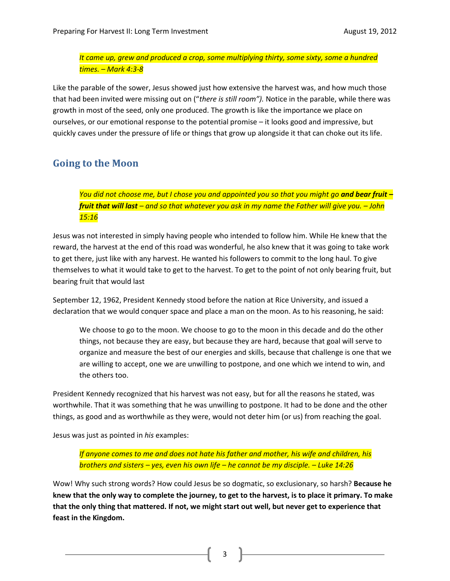*It came up, grew and produced a crop, some multiplying thirty, some sixty, some a hundred times. – Mark 4:3-8*

Like the parable of the sower, Jesus showed just how extensive the harvest was, and how much those that had been invited were missing out on ("*there is still room").* Notice in the parable, while there was growth in most of the seed, only one produced. The growth is like the importance we place on ourselves, or our emotional response to the potential promise – it looks good and impressive, but quickly caves under the pressure of life or things that grow up alongside it that can choke out its life.

# **Going to the Moon**

*You did not choose me, but I chose you and appointed you so that you might go and bear fruit – fruit that will last – and so that whatever you ask in my name the Father will give you. – John 15:16*

Jesus was not interested in simply having people who intended to follow him. While He knew that the reward, the harvest at the end of this road was wonderful, he also knew that it was going to take work to get there, just like with any harvest. He wanted his followers to commit to the long haul. To give themselves to what it would take to get to the harvest. To get to the point of not only bearing fruit, but bearing fruit that would last

September 12, 1962, President Kennedy stood before the nation at Rice University, and issued a declaration that we would conquer space and place a man on the moon. As to his reasoning, he said:

We choose to go to the moon. We choose to go to the moon in this decade and do the other things, not because they are easy, but because they are hard, because that goal will serve to organize and measure the best of our energies and skills, because that challenge is one that we are willing to accept, one we are unwilling to postpone, and one which we intend to win, and the others too.

President Kennedy recognized that his harvest was not easy, but for all the reasons he stated, was worthwhile. That it was something that he was unwilling to postpone. It had to be done and the other things, as good and as worthwhile as they were, would not deter him (or us) from reaching the goal.

Jesus was just as pointed in *his* examples:

*If anyone comes to me and does not hate his father and mother, his wife and children, his brothers and sisters – yes, even his own life – he cannot be my disciple. – Luke 14:26*

Wow! Why such strong words? How could Jesus be so dogmatic, so exclusionary, so harsh? **Because he knew that the only way to complete the journey, to get to the harvest, is to place it primary. To make that the only thing that mattered. If not, we might start out well, but never get to experience that feast in the Kingdom.** 

3